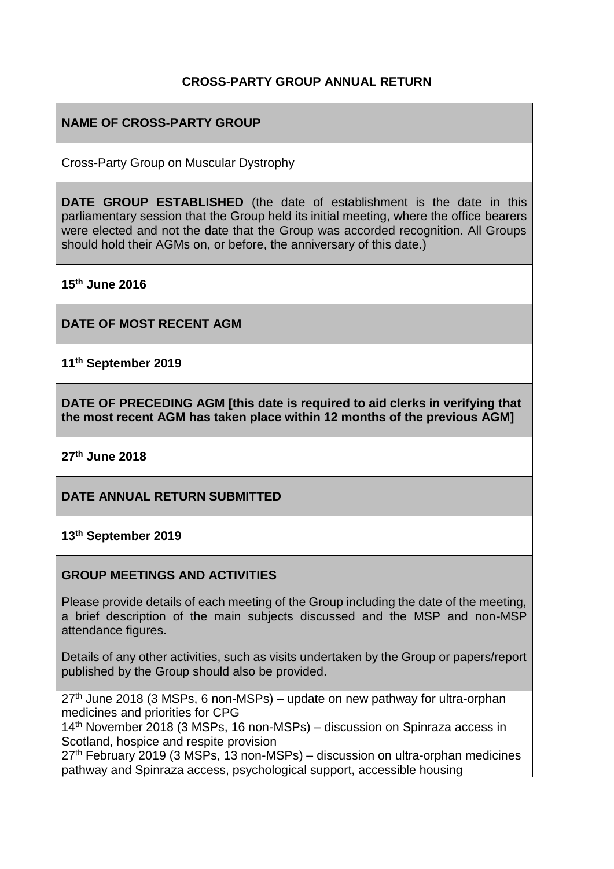## **CROSS-PARTY GROUP ANNUAL RETURN**

# **NAME OF CROSS-PARTY GROUP**

Cross-Party Group on Muscular Dystrophy

**DATE GROUP ESTABLISHED** (the date of establishment is the date in this parliamentary session that the Group held its initial meeting, where the office bearers were elected and not the date that the Group was accorded recognition. All Groups should hold their AGMs on, or before, the anniversary of this date.)

**15th June 2016**

**DATE OF MOST RECENT AGM**

**11th September 2019**

**DATE OF PRECEDING AGM [this date is required to aid clerks in verifying that the most recent AGM has taken place within 12 months of the previous AGM]**

**27th June 2018**

**DATE ANNUAL RETURN SUBMITTED**

**13th September 2019**

### **GROUP MEETINGS AND ACTIVITIES**

Please provide details of each meeting of the Group including the date of the meeting, a brief description of the main subjects discussed and the MSP and non-MSP attendance figures.

Details of any other activities, such as visits undertaken by the Group or papers/report published by the Group should also be provided.

 $27<sup>th</sup>$  June 2018 (3 MSPs, 6 non-MSPs) – update on new pathway for ultra-orphan medicines and priorities for CPG

14th November 2018 (3 MSPs, 16 non-MSPs) – discussion on Spinraza access in Scotland, hospice and respite provision

 $27<sup>th</sup>$  February 2019 (3 MSPs, 13 non-MSPs) – discussion on ultra-orphan medicines pathway and Spinraza access, psychological support, accessible housing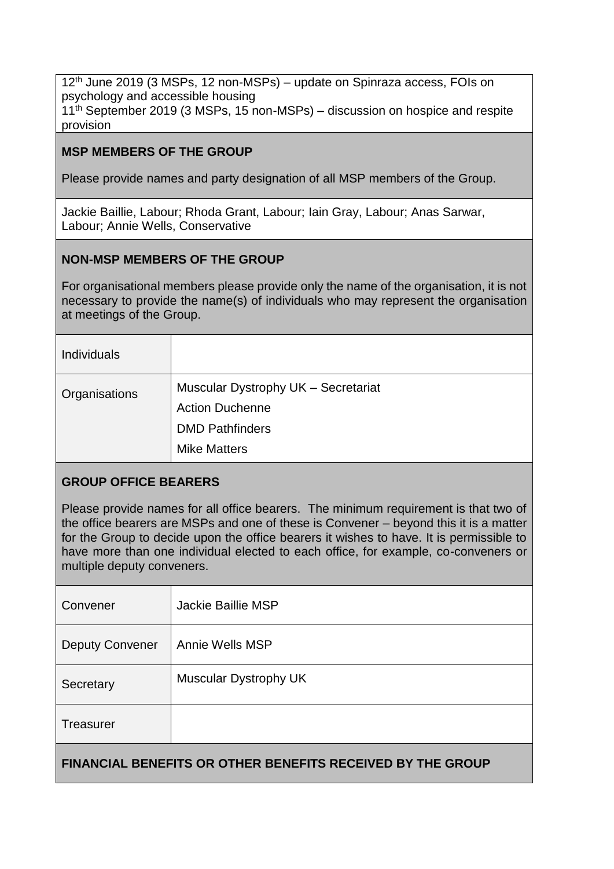12<sup>th</sup> June 2019 (3 MSPs, 12 non-MSPs) – update on Spinraza access, FOIs on psychology and accessible housing 11<sup>th</sup> September 2019 (3 MSPs, 15 non-MSPs) – discussion on hospice and respite provision

### **MSP MEMBERS OF THE GROUP**

Please provide names and party designation of all MSP members of the Group.

Jackie Baillie, Labour; Rhoda Grant, Labour; Iain Gray, Labour; Anas Sarwar, Labour; Annie Wells, Conservative

### **NON-MSP MEMBERS OF THE GROUP**

For organisational members please provide only the name of the organisation, it is not necessary to provide the name(s) of individuals who may represent the organisation at meetings of the Group.

| <b>Individuals</b> |                                                                                                                |
|--------------------|----------------------------------------------------------------------------------------------------------------|
| Organisations      | Muscular Dystrophy UK - Secretariat<br><b>Action Duchenne</b><br><b>DMD Pathfinders</b><br><b>Mike Matters</b> |

## **GROUP OFFICE BEARERS**

Please provide names for all office bearers. The minimum requirement is that two of the office bearers are MSPs and one of these is Convener – beyond this it is a matter for the Group to decide upon the office bearers it wishes to have. It is permissible to have more than one individual elected to each office, for example, co-conveners or multiple deputy conveners.

| Convener                                                          | Jackie Baillie MSP    |  |
|-------------------------------------------------------------------|-----------------------|--|
| <b>Deputy Convener</b>                                            | Annie Wells MSP       |  |
| Secretary                                                         | Muscular Dystrophy UK |  |
| Treasurer                                                         |                       |  |
| <b>FINANCIAL BENEFITS OR OTHER BENEFITS RECEIVED BY THE GROUP</b> |                       |  |